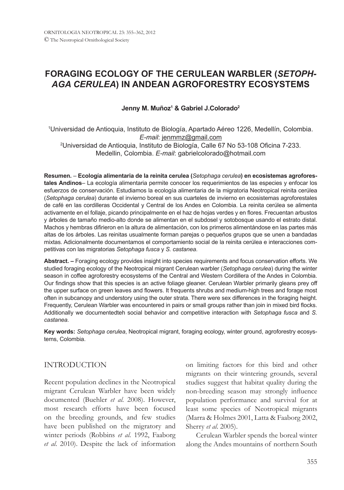# **FORAGING ECOLOGY OF THE CERULEAN WARBLER (***SETOPH-AGA CERULEA***) IN ANDEAN AGROFORESTRY ECOSYSTEMS**

### **Jenny M. Muñoz1 & Gabriel J.Colorado2**

1 Universidad de Antioquia, Instituto de Biología, Apartado Aéreo 1226, Medellín, Colombia. *E-mail*: jenmmz@gmail.com 2 Universidad de Antioquia, Instituto de Biología, Calle 67 No 53-108 Oficina 7-233. Medellin, Colombia. *E-mail*: gabrielcolorado@hotmail.com

**Resumen.** – **Ecología alimentaria de la reinita cerulea (***Setophaga cerulea***) en ecosistemas agroforestales Andinos**– La ecología alimentaria permite conocer los requerimientos de las especies y enfocar los esfuerzos de conservación. Estudiamos la ecología alimentaria de la migratoria Neotropical reinita cerúlea (*Setophaga cerulea*) durante el invierno boreal en sus cuarteles de invierno en ecosistemas agroforestales de café en las cordilleras Occidental y Central de los Andes en Colombia. La reinita cerúlea se alimenta activamente en el follaje, picando principalmente en el haz de hojas verdes y en flores. Frecuentan arbustos y árboles de tamaño medio-alto donde se alimentan en el subdosel y sotobosque usando el estrato distal. Machos y hembras difirieron en la altura de alimentación, con los primeros alimentándose en las partes más altas de los árboles. Las reinitas usualmente forman parejas o pequeños grupos que se unen a bandadas mixtas. Adicionalmente documentamos el comportamiento social de la reinita cerúlea e interacciones competitivas con las migratorias *Setophaga fusca* y *S. castanea*.

**Abstract. –** Foraging ecology provides insight into species requirements and focus conservation efforts. We studied foraging ecology of the Neotropical migrant Cerulean warbler (*Setophaga cerulea*) during the winter season in coffee agroforestry ecosystems of the Central and Western Cordillera of the Andes in Colombia. Our findings show that this species is an active foliage gleaner. Cerulean Warbler primarily gleans prey off the upper surface on green leaves and flowers. It frequents shrubs and medium-high trees and forage most often in subcanopy and understory using the outer strata. There were sex differences in the foraging height. Frequently, Cerulean Warbler was encountered in pairs or small groups rather than join in mixed bird flocks. Additionally we documentedteh social behavior and competitive interaction with *Setophaga fusca* and *S. castanea.* 

**Key words:** *Setophaga cerulea*, Neotropical migrant, foraging ecology, winter ground, agroforestry ecosystems, Colombia.

### INTRODUCTION

Recent population declines in the Neotropical migrant Cerulean Warbler have been widely documented (Buehler *et al*. 2008). However, most research efforts have been focused on the breeding grounds, and few studies have been published on the migratory and winter periods (Robbins *et al*. 1992, Faaborg *et al*. 2010). Despite the lack of information on limiting factors for this bird and other migrants on their wintering grounds, several studies suggest that habitat quality during the non-breeding season may strongly influence population performance and survival for at least some species of Neotropical migrants (Marra & Holmes 2001, Latta & Faaborg 2002, Sherry *et al*. 2005).

Cerulean Warbler spends the boreal winter along the Andes mountains of northern South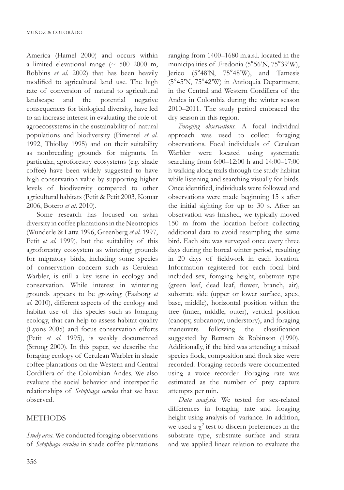America (Hamel 2000) and occurs within a limited elevational range  $($   $\sim$  500-2000 m, Robbins *et al*. 2002) that has been heavily modified to agricultural land use. The high rate of conversion of natural to agricultural landscape and the potential negative consequences for biological diversity, have led to an increase interest in evaluating the role of agroecosystems in the sustainability of natural populations and biodiversity (Pimentel *et al*. 1992, Thiollay 1995) and on their suitability as nonbreeding grounds for migrants. In particular, agroforestry ecosystems (e.g. shade coffee) have been widely suggested to have high conservation value by supporting higher levels of biodiversity compared to other agricultural habitats (Petit & Petit 2003, Komar 2006, Botero *et al*. 2010).

Some research has focused on avian diversity in coffee plantations in the Neotropics (Wunderle & Latta 1996, Greenberg *et al.* 1997, Petit et al. 1999), but the suitability of this agroforestry ecosystem as wintering grounds for migratory birds, including some species of conservation concern such as Cerulean Warbler, is still a key issue in ecology and conservation. While interest in wintering grounds appears to be growing (Faaborg *et al*. 2010), different aspects of the ecology and habitat use of this species such as foraging ecology, that can help to assess habitat quality (Lyons 2005) and focus conservation efforts (Petit *et al*. 1995), is weakly documented (Strong 2000). In this paper, we describe the foraging ecology of Cerulean Warbler in shade coffee plantations on the Western and Central Cordillera of the Colombian Andes. We also evaluate the social behavior and interspecific relationships of *Setophaga cerulea* that we have observed.

### **METHODS**

*Study area.* We conducted foraging observations of *Setophaga cerulea* in shade coffee plantations

ranging from 1400–1680 m.a.s.l. located in the municipalities of Fredonia (5°56'N, 75°39'W), Jerico (5°48'N, 75°48'W), and Tamesis (5°45'N, 75°42'W) in Antioquia Department, in the Central and Western Cordillera of the Andes in Colombia during the winter season 2010–2011. The study period embraced the dry season in this region.

*Foraging observations.* A focal individual approach was used to collect foraging observations. Focal individuals of Cerulean Warbler were located using systematic searching from 6:00–12:00 h and 14:00–17:00 h walking along trails through the study habitat while listening and searching visually for birds. Once identified, individuals were followed and observations were made beginning 15 s after the initial sighting for up to 30 s. After an observation was finished, we typically moved 150 m from the location before collecting additional data to avoid resampling the same bird. Each site was surveyed once every three days during the boreal winter period, resulting in 20 days of fieldwork in each location. Information registered for each focal bird included sex, foraging height, substrate type (green leaf, dead leaf, flower, branch, air), substrate side (upper or lower surface, apex, base, middle), horizontal position within the tree (inner, middle, outer), vertical position (canopy, subcanopy, understory), and foraging maneuvers following the classification suggested by Remsen & Robinson (1990). Additionally, if the bird was attending a mixed species flock, composition and flock size were recorded. Foraging records were documented using a voice recorder. Foraging rate was estimated as the number of prey capture attempts per min.

*Data analysis.* We tested for sex-related differences in foraging rate and foraging height using analysis of variance. In addition, we used a  $\chi^2$  test to discern preferences in the substrate type, substrate surface and strata and we applied linear relation to evaluate the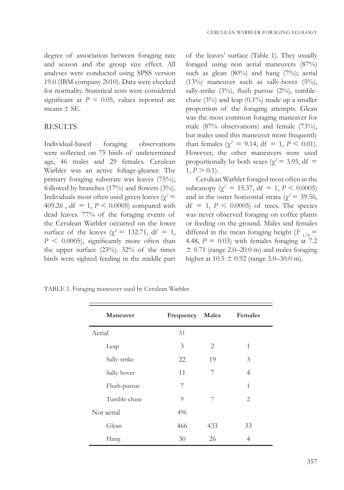degree of association between foraging rate and season and the group size effect. All analyses were conducted using SPSS version 19.0 (IBM company 2010). Data were checked for normality. Statistical tests were considered significant at *P =* 0.05, values reported are means ± SE.

#### RESULTS

Individual-based foraging observations were collected on 75 birds of undetermined age, 46 males and 29 females. Cerulean Warbler was an active foliage-gleaner. The primary foraging substrate was leaves (75%), followed by branches (17%) and flowers (3%). Individuals most often used green leaves ( $\chi^2$  = 409.26,  $df = 1, P < 0.0005$  compared with dead leaves. 77% of the foraging events of the Cerulean Warbler occurred on the lower surface of the leaves ( $\chi^2$  = 132.71, df = 1,  $P < 0.0005$ ), significantly more often than the upper surface (23%). 32% of the times birds were sighted feeding in the middle part

of the leaves' surface (Table 1). They usually foraged using non aerial maneuvers (87%) such as glean  $(80\%)$  and hang  $(7\%)$ ; aerial  $(13\%)$  maneuver such as sally-hover  $(5\%)$ , sally-strike  $(3\%)$ , flush pursue  $(2\%)$ , tumblechase  $(3\%)$  and leap  $(0.1\%)$  made up a smaller proportion of the foraging attempts. Glean was the most common foraging maneuver for male (87% observations) and female (73%), but males used this maneuver more frequently than females ( $\chi^2 = 9.14$ , df = 1, *P* < 0.01). However, the other maneuvers were used proportionally by both sexes ( $\chi^2$  = 3.95, df =  $1, P \geq 0.1$ ).

Cerulean Warbler foraged most often in the subcanopy ( $\chi^2 = 15.37$ , df = 1, *P* < 0.0005) and in the outer horizontal strata ( $\chi^2$  = 39.56,  $df = 1, P < 0.0005$  of trees. The species was never observed foraging on coffee plants or feeding on the ground. Males and females differed in the mean foraging height ( $F_{1,74}$  = 4.48,  $P = 0.03$ ) with females foraging at 7.2  $\pm$  0.71 (range 2.0–20.0 m) and males foraging higher at  $10.5 \pm 0.92$  (range 3.0–30.0 m).

| TABLE 1. Foraging maneuver used by Cerulean Warbler. |  |  |  |
|------------------------------------------------------|--|--|--|
|------------------------------------------------------|--|--|--|

| Maneuver     | Frequency | Males | <b>Females</b> |
|--------------|-----------|-------|----------------|
| Aerial       | 51        |       |                |
| Leap         | 3         | 2     | 1              |
| Sally-strike | 22        | 19    | 3              |
| Sally-hover  | 11        | 7     | 4              |
| Flush-pursue | 7         |       | 1              |
| Tumble-chase | 9         | 7     | $\overline{c}$ |
| Not aerial   | 496       |       |                |
| Glean        | 466       | 433   | 33             |
| Hang         | 30        | 26    | 4              |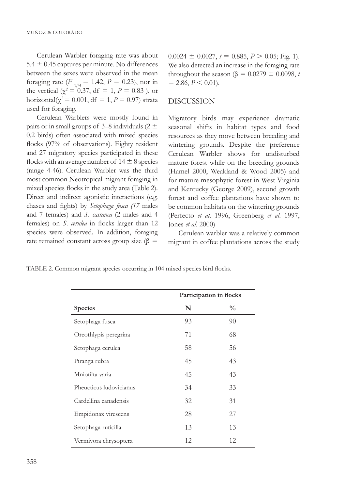Cerulean Warbler foraging rate was about  $5.4 \pm 0.45$  captures per minute. No differences between the sexes were observed in the mean foraging rate ( $F_{174}$  = 1.42,  $P = 0.23$ ), nor in the vertical ( $\chi^2 = 0.37$ , df = 1, *P* = 0.83 ), or  $horizontally^2 = 0.001$ , df = 1, *P* = 0.97) strata used for foraging.

Cerulean Warblers were mostly found in pairs or in small groups of 3–8 individuals (2  $\pm$ 0.2 birds) often associated with mixed species flocks (97% of observations). Eighty resident and 27 migratory species participated in these flocks with an average number of  $14 \pm 8$  species (range 4-46). Cerulean Warbler was the third most common Neotropical migrant foraging in mixed species flocks in the study area (Table 2). Direct and indirect agonistic interactions (e.g. chases and fights) by *Setophaga fusca (17* males and 7 females) and *S. castanea* (2 males and 4 females) on *S. cerulea* in flocks larger than 12 species were observed. In addition, foraging rate remained constant across group size (β  $=$ 

 $0.0024 \pm 0.0027$ ,  $t = 0.885$ ,  $P > 0.05$ ; Fig. 1). We also detected an increase in the foraging rate throughout the season ( $\beta = 0.0279 \pm 0.0098$ , *t*  $= 2.86, P < 0.01$ ).

### DISCUSSION

Migratory birds may experience dramatic seasonal shifts in habitat types and food resources as they move between breeding and wintering grounds. Despite the preference Cerulean Warbler shows for undisturbed mature forest while on the breeding grounds (Hamel 2000, Weakland & Wood 2005) and for mature mesophytic forest in West Virginia and Kentucky (George 2009), second growth forest and coffee plantations have shown to be common habitats on the wintering grounds (Perfecto *et al*. 1996, Greenberg *et al*. 1997, Jones *et al*. 2000)

Cerulean warbler was a relatively common migrant in coffee plantations across the study

TABLE 2. Common migrant species occurring in 104 mixed species bird flocks.

|                         | Participation in flocks |               |  |
|-------------------------|-------------------------|---------------|--|
| <b>Species</b>          | N                       | $\frac{0}{0}$ |  |
| Setophaga fusca         | 93                      | 90            |  |
| Oreothlypis peregrina   | 71                      | 68            |  |
| Setophaga cerulea       | 58                      | 56            |  |
| Piranga rubra           | 45                      | 43            |  |
| Mniotilta varia         | 45                      | 43            |  |
| Pheucticus ludovicianus | 34                      | 33            |  |
| Cardellina canadensis   | 32                      | 31            |  |
| Empidonax virescens     | 28                      | 27            |  |
| Setophaga ruticilla     | 13                      | 13            |  |
| Vermivora chrysoptera   | 12                      | 12            |  |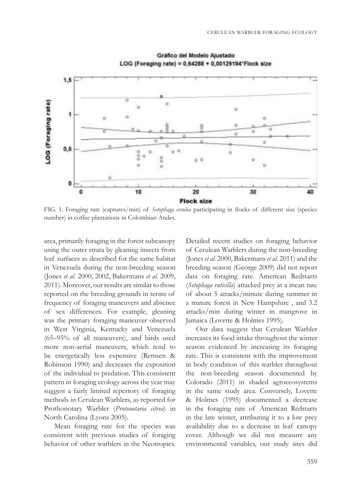

Gráfico del Modelo Ajustado LOG (Foraging rate) = 0,64288 + 0,00129194\*Flock size

FIG. 1. Foraging rate (captures/min) of *Setophaga cerulea* participating in flocks of different size (species number) in coffee plantations in Colombian Andes.

area, primarily foraging in the forest subcanopy using the outer strata by gleaning insects from leaf surfaces as described for the same habitat in Venezuela during the non-breeding season (Jones *et al.* 2000, 2002, Bakermans *et al*. 2009, 2011). Moreover, our results are similar to those reported on the breeding grounds in terms of frequency of foraging maneuvers and absence of sex differences. For example, gleaning was the primary foraging maneuver observed in West Virginia, Kentucky and Venezuela (65–95% of all maneuvers), and birds used more non-aerial maneuvers, which tend to be energetically less expensive (Remsen & Robinson 1990) and decreases the exposition of the individual to predation. This consistent pattern in foraging ecology across the year may suggest a fairly limited repertory of foraging methods in Cerulean Warblers, as reported for Prothonotary Warbler (*Protonotaria citrea*) in North Carolina (Lyons 2005).

Mean foraging rate for the species was consistent with previous studies of foraging behavior of other warblers in the Neotropics. Detailed recent studies on foraging behavior of Cerulean Warblers during the non-breeding (Jones *et al.* 2000, Bakermans *et al.* 2011) and the breeding season (George 2009) did not report data on foraging rate. American Redstarts (*Setophaga ruticilla*) attacked prey at a mean rate of about 5 attacks/minute during summer in a mature forest in New Hampshire , and 3.2 attacks/min during winter in mangrove in Jamaica (Lovette & Holmes 1995).

Our data suggest that Cerulean Warbler increases its food intake throughout the winter season evidenced by increasing its foraging rate. This is consistent with the improvement in body condition of this warbler throughout the non-breeding season documented by Colorado (2011) in shaded agroecosystems in the same study area. Conversely, Lovette & Holmes (1995) documented a decrease in the foraging rate of American Redstarts in the late winter, attributing it to a low prey availability due to a decrease in leaf canopy cover. Although we did not measure any environmental variables, our study sites did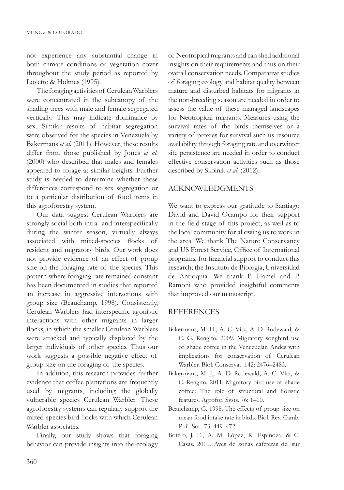not experience any substantial change in both climate conditions or vegetation cover throughout the study period as reported by Lovette & Holmes (1995).

The foraging activities of Cerulean Warblers were concentrated in the subcanopy of the shading trees with male and female segregated vertically. This may indicate dominance by sex. Similar results of habitat segregation were observed for the species in Venezuela by Bakermans et al. (2011). However, these results differ from those published by Jones *et al.* (2000) who described that males and females appeared to forage at similar heights. Further study is needed to determine whether these differences correspond to sex segregation or to a particular distribution of food items in this agroforestry system.

Our data suggest Cerulean Warblers are strongly social both intra- and interspecifically during the winter season, virtually always associated with mixed-species flocks of resident and migratory birds. Our work does not provide evidence of an effect of group size on the foraging rate of the species. This pattern where foraging rate remained constant has been documented in studies that reported an increase in aggressive interactions with group size (Beauchamp, 1998). Consistently, Cerulean Warblers had interspecific agonistic interactions with other migrants in larger flocks, in which the smaller Cerulean Warblers were attacked and typically displaced by the larger individuals of other species. Thus our work suggests a possible negative effect of group size on the foraging of the species.

In addition, this research provides further evidence that coffee plantations are frequently used by migrants, including the globally vulnerable species Cerulean Warbler. These agroforestry systems can regularly support the mixed-species bird flocks with which Cerulean Warbler associates.

Finally, our study shows that foraging behavior can provide insights into the ecology

of Neotropical migrants and can shed additional insights on their requirements and thus on their overall conservation needs. Comparative studies of foraging ecology and habitat quality between mature and disturbed habitats for migrants in the non-breeding season are needed in order to assess the value of these managed landscapes for Neotropical migrants. Measures using the survival rates of the birds themselves or a variety of proxies for survival such us resource availability through foraging rate and overwinter site persistence are needed in order to conduct effective conservation activities such as those described by Skolnik *et al*. (2012).

### ACKNOWLEDGMENTS

We want to express our gratitude to Santiago David and David Ocampo for their support in the field stage of this project, as well as to the local community for allowing us to work in the area. We thank The Nature Conservancy and US Forest Service, Office of International programs, for financial support to conduct this research; the Instituto de Biología, Universidad de Antioquia. We thank P. Hamel and P. Ramoni who provided insightful comments that improved our manuscript.

## REFERENCES

- Bakermans, M. H., A. C. Vitz, A. D. Rodewald, & C. G. Rengifo. 2009. Migratory songbird use of shade coffee in the Venezuelan Andes with implications for conservation of Cerulean Warbler. Biol. Conservat. 142: 2476–2483.
- Bakermans, M. J., A. D. Rodewald, A. C. Vitz, & C. Rengifo. 2011. Migratory bird use of shade coffee: The role of structural and floristic features. Agrofor. Systs. 76: 1–10.
- Beauchamp, G. 1998. The effects of group size on mean food intake rate in birds. Biol. Rev. Camb. Phil. Soc. 73: 449–472.
- Botero, J. E., A. M. López, R. Espinoza, & C. Casas. 2010. Aves de zonas cafeteras del sur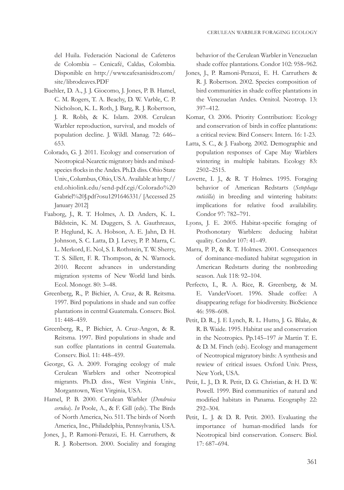del Huila. Federación Nacional de Cafeteros de Colombia – Cenicafé, Caldas, Colombia. Disponible en http://www.cafesanisidro.com/ site/librodeaves.PDF

- Buehler, D. A., J. J. Giocomo, J. Jones, P. B. Hamel, C. M. Rogers, T. A. Beachy, D. W. Varble, C. P. Nicholson, K. L. Roth, J. Barg, R. J. Robertson, J. R. Robb, & K. Islam. 2008. Cerulean Warbler reproduction, survival, and models of population decline. J. Wildl. Manag. 72: 646– 653.
- Colorado, G. J. 2011. Ecology and conservation of Neotropical-Nearctic migratory birds and mixedspecies flocks in the Andes. Ph.D. diss. Ohio State Univ., Columbus, Ohio, USA. Available at http:// etd.ohiolink.edu/send-pdf.cgi/Colorado%20 Gabriel%20J.pdf?osu1291646331/ [Accessed 25 January 2012]
- Faaborg, J., R. T. Holmes, A. D. Anders, K. L. Bildstein, K. M. Duggers, S. A. Gauthreaux, P. Heglund, K. A. Hobson, A. E. Jahn, D. H. Johnson, S. C. Latta, D. J. Levey, P. P. Marra, C. L. Merkord, E. Nol, S. I. Rothstein, T. W. Sherry, T. S. Sillett, F. R. Thompson, & N. Warnock. 2010. Recent advances in understanding migration systems of New World land birds. Ecol. Monogr. 80: 3–48.
- Greenberg, R., P. Bichier, A. Cruz, & R. Reitsma. 1997. Bird populations in shade and sun coffee plantations in central Guatemala. Conserv. Biol. 11: 448–459.
- Greenberg, R., P. Bichier, A. Cruz-Angon, & R. Reitsma. 1997. Bird populations in shade and sun coffee plantations in central Guatemala. Conserv. Biol. 11: 448–459.
- George, G. A. 2009. Foraging ecology of male Cerulean Warblers and other Neotropical migrants. Ph.D. diss., West Virginia Univ., Morgantown, West Virginia, USA.
- Hamel, P. B. 2000. Cerulean Warbler (*Dendroica cerulea*). *In* Poole, A., & F. Gill (eds). The Birds of North America, No. 511. The birds of North America, Inc., Philadelphia, Pennsylvania*,* USA.
- Jones, J., P. Ramoni-Perazzi, E. H. Carruthers, & R. J. Robertson. 2000. Sociality and foraging

behavior of the Cerulean Warbler in Venezuelan shade coffee plantations. Condor 102: 958–962.

- Jones, J., P. Ramoni-Perazzi, E. H. Carruthers & R. J. Robertson. 2002. Species composition of bird communities in shade coffee plantations in the Venezuelan Andes. Ornitol. Neotrop. 13: 397–412.
- Komar, O. 2006. Priority Contribution: Ecology and conservation of birds in coffee plantations: a critical review. Bird Conserv. Intern. 16: 1-23.
- Latta, S. C., & J. Faaborg. 2002. Demographic and population responses of Cape May Warblers wintering in multiple habitats. Ecology 83: 2502–2515.
- Lovette, I. J., & R. T Holmes. 1995. Foraging behavior of American Redstarts (*Setophaga ruticilla*) in breeding and wintering habitats: implications for relative food availability. Condor 97: 782–791.
- Lyons, J. E. 2005. Habitat-specific foraging of Prothonotary Warblers: deducing habitat quality. Condor 107: 41–49.
- Marra, P. P., & R. T. Holmes. 2001. Consequences of dominance-mediated habitat segregation in American Redstarts during the nonbreeding season. Auk 118: 92–104.
- Perfecto, I., R. A. Rice, R. Greenberg, & M. E. VanderVoort. 1996. Shade coffee: A disappearing refuge for biodiversity. BioScience 46: 598–608.
- Petit, D. R., J. E Lynch, R. L. Hutto, J. G. Blake, & R. B. Waide. 1995. Habitat use and conservation in the Neotropics. Pp.145–197 *in* Martin T. E. & D. M. Finch (eds). Ecology and management of Neotropical migratory birds: A synthesis and rewiew of critical issues. Oxford Univ. Press, New York, USA.
- Petit, L. J., D. R. Petit, D. G. Christian, & H. D. W. Powell. 1999. Bird communities of natural and modified habitats in Panama. Ecography 22: 292–304.
- Petit, L. J. & D. R. Petit. 2003. Evaluating the importance of human-modified lands for Neotropical bird conservation. Conserv. Biol. 17: 687–694.